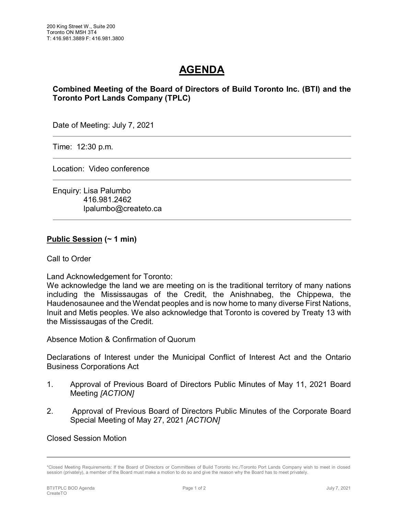# **AGENDA**

## **Combined Meeting of the Board of Directors of Build Toronto Inc. (BTI) and the Toronto Port Lands Company (TPLC)**

Date of Meeting: July 7, 2021

Time: 12:30 p.m.

Location: Video conference

Enquiry: Lisa Palumbo 416.981.2462 lpalumbo@createto.ca

#### **Public Session (~ 1 min)**

Call to Order

Land Acknowledgement for Toronto:

We acknowledge the land we are meeting on is the traditional territory of many nations including the Mississaugas of the Credit, the Anishnabeg, the Chippewa, the Haudenosaunee and the Wendat peoples and is now home to many diverse First Nations, Inuit and Metis peoples. We also acknowledge that Toronto is covered by Treaty 13 with the Mississaugas of the Credit.

Absence Motion & Confirmation of Quorum

Declarations of Interest under the Municipal Conflict of Interest Act and the Ontario Business Corporations Act

- 1. Approval of Previous Board of Directors Public Minutes of May 11, 2021 Board Meeting *[ACTION]*
- 2. Approval of Previous Board of Directors Public Minutes of the Corporate Board Special Meeting of May 27, 2021 *[ACTION]*

Closed Session Motion

<sup>\*</sup>Closed Meeting Requirements: If the Board of Directors or Committees of Build Toronto Inc./Toronto Port Lands Company wish to meet in closed session (privately), a member of the Board must make a motion to do so and give the reason why the Board has to meet privately.